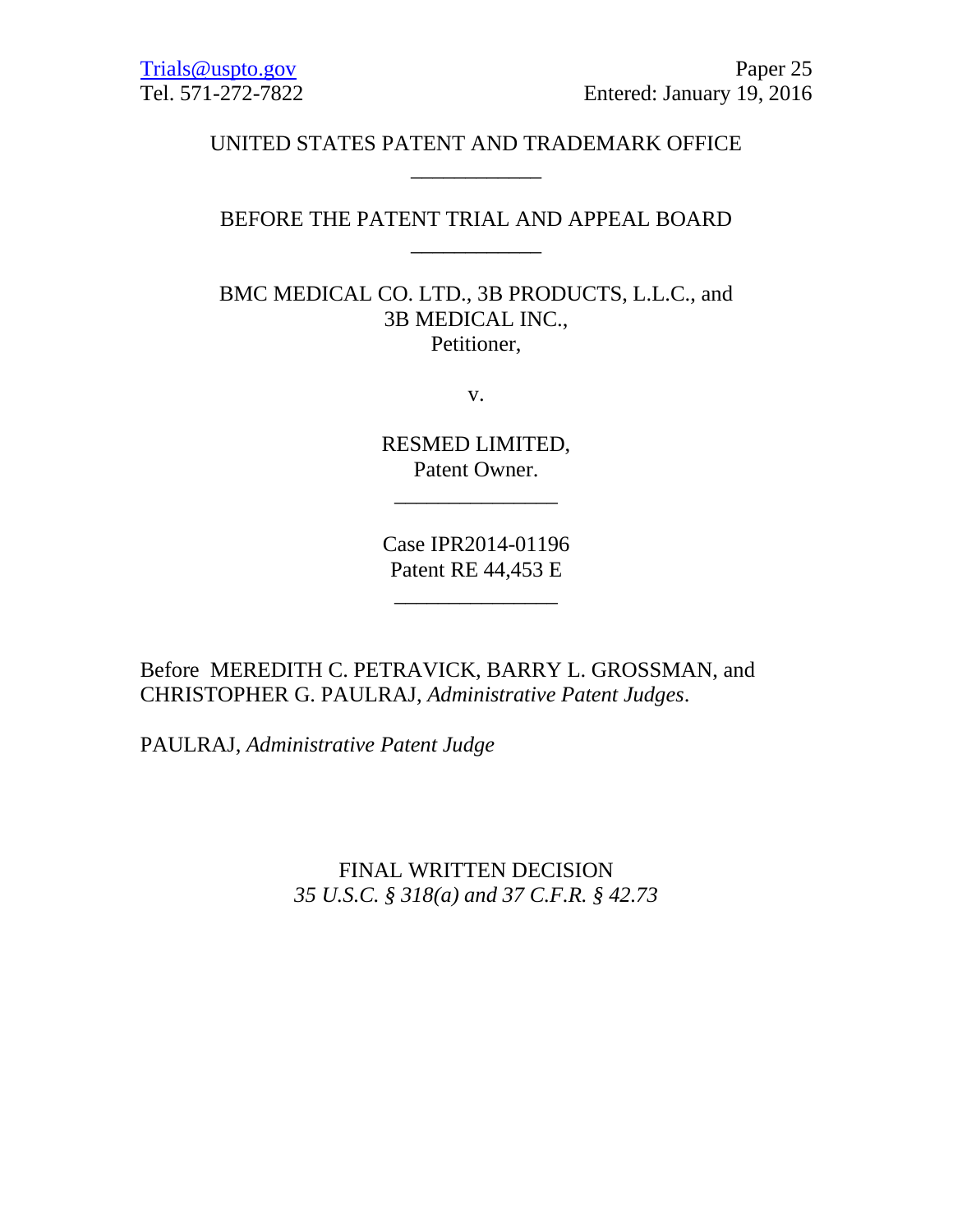## UNITED STATES PATENT AND TRADEMARK OFFICE \_\_\_\_\_\_\_\_\_\_\_\_

### BEFORE THE PATENT TRIAL AND APPEAL BOARD \_\_\_\_\_\_\_\_\_\_\_\_

BMC MEDICAL CO. LTD., 3B PRODUCTS, L.L.C., and 3B MEDICAL INC., Petitioner,

v.

RESMED LIMITED, Patent Owner.

\_\_\_\_\_\_\_\_\_\_\_\_\_\_\_

Case IPR2014-01196 Patent RE 44,453 E

\_\_\_\_\_\_\_\_\_\_\_\_\_\_\_

Before MEREDITH C. PETRAVICK, BARRY L. GROSSMAN, and CHRISTOPHER G. PAULRAJ, *Administrative Patent Judges*.

PAULRAJ, *Administrative Patent Judge*

FINAL WRITTEN DECISION *35 U.S.C. § 318(a) and 37 C.F.R. § 42.73*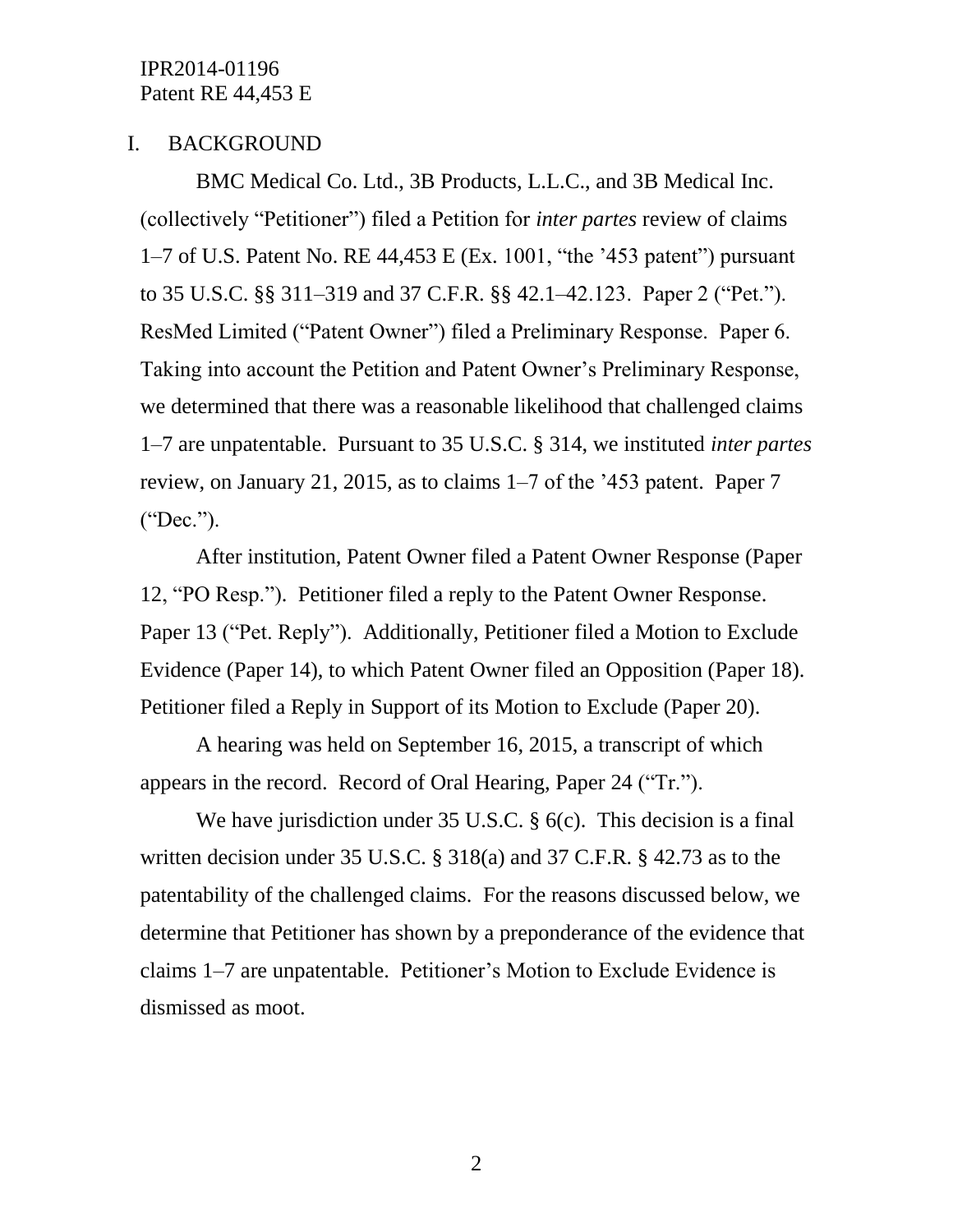#### I. BACKGROUND

BMC Medical Co. Ltd., 3B Products, L.L.C., and 3B Medical Inc. (collectively "Petitioner") filed a Petition for *inter partes* review of claims 1–7 of U.S. Patent No. RE 44,453 E (Ex. 1001, "the '453 patent") pursuant to 35 U.S.C. §§ 311–319 and 37 C.F.R. §§ 42.1–42.123. Paper 2 ("Pet."). ResMed Limited ("Patent Owner") filed a Preliminary Response. Paper 6. Taking into account the Petition and Patent Owner's Preliminary Response, we determined that there was a reasonable likelihood that challenged claims 1–7 are unpatentable. Pursuant to 35 U.S.C. § 314, we instituted *inter partes* review, on January 21, 2015, as to claims 1–7 of the '453 patent. Paper 7 ("Dec.").

After institution, Patent Owner filed a Patent Owner Response (Paper 12, "PO Resp."). Petitioner filed a reply to the Patent Owner Response. Paper 13 ("Pet. Reply"). Additionally, Petitioner filed a Motion to Exclude Evidence (Paper 14), to which Patent Owner filed an Opposition (Paper 18). Petitioner filed a Reply in Support of its Motion to Exclude (Paper 20).

A hearing was held on September 16, 2015, a transcript of which appears in the record. Record of Oral Hearing, Paper 24 ("Tr.").

We have jurisdiction under 35 U.S.C. § 6(c). This decision is a final written decision under 35 U.S.C. § 318(a) and 37 C.F.R. § 42.73 as to the patentability of the challenged claims. For the reasons discussed below, we determine that Petitioner has shown by a preponderance of the evidence that claims 1–7 are unpatentable. Petitioner's Motion to Exclude Evidence is dismissed as moot.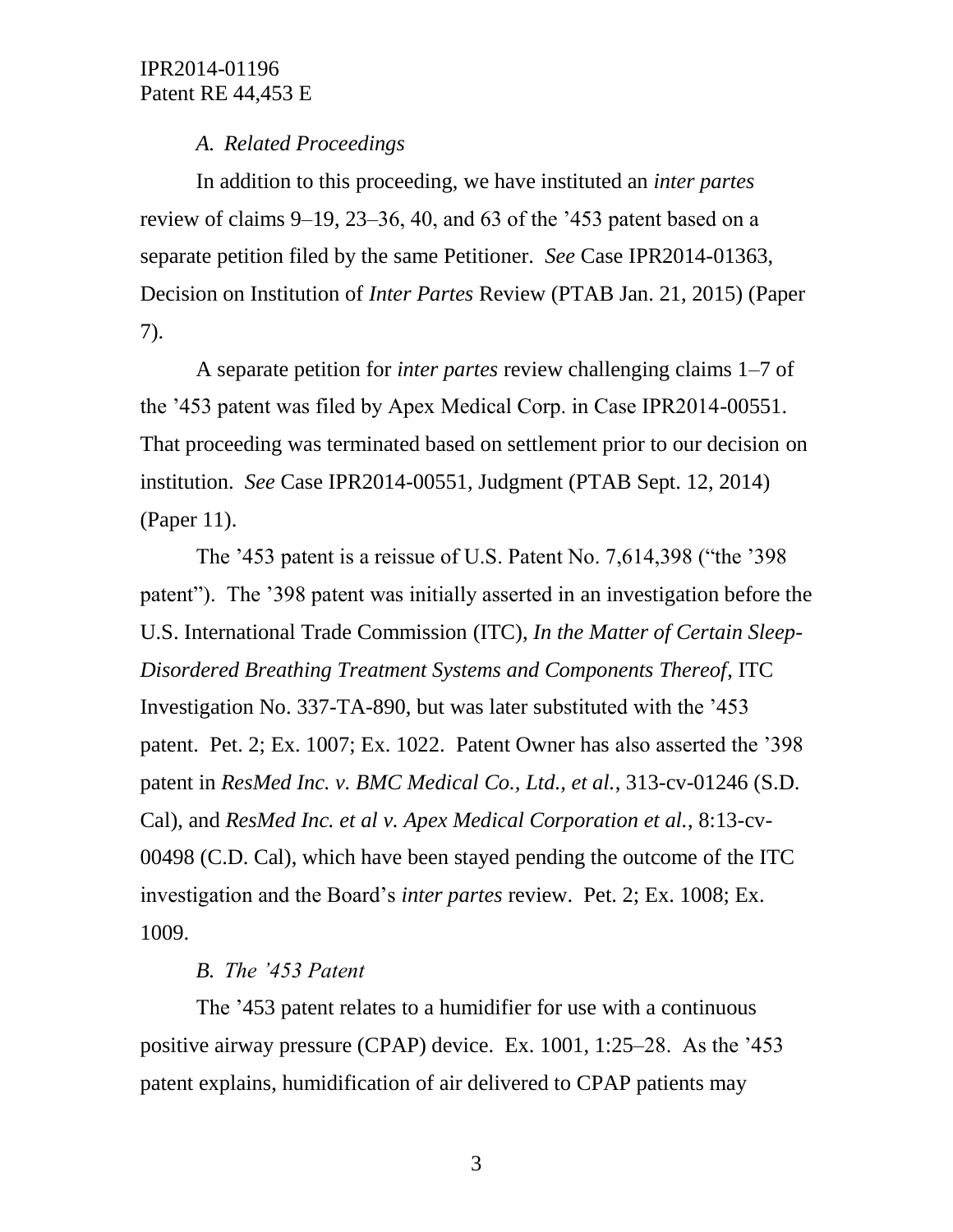# *A. Related Proceedings*

In addition to this proceeding, we have instituted an *inter partes* review of claims 9–19, 23–36, 40, and 63 of the '453 patent based on a separate petition filed by the same Petitioner. *See* Case IPR2014-01363, Decision on Institution of *Inter Partes* Review (PTAB Jan. 21, 2015) (Paper 7).

A separate petition for *inter partes* review challenging claims 1–7 of the '453 patent was filed by Apex Medical Corp. in Case IPR2014-00551. That proceeding was terminated based on settlement prior to our decision on institution. *See* Case IPR2014-00551, Judgment (PTAB Sept. 12, 2014) (Paper 11).

The '453 patent is a reissue of U.S. Patent No. 7,614,398 ("the '398 patent"). The '398 patent was initially asserted in an investigation before the U.S. International Trade Commission (ITC), *In the Matter of Certain Sleep-Disordered Breathing Treatment Systems and Components Thereof*, ITC Investigation No. 337-TA-890, but was later substituted with the '453 patent. Pet. 2; Ex. 1007; Ex. 1022. Patent Owner has also asserted the '398 patent in *ResMed Inc. v. BMC Medical Co., Ltd., et al.*, 313-cv-01246 (S.D. Cal), and *ResMed Inc. et al v. Apex Medical Corporation et al.*, 8:13-cv-00498 (C.D. Cal), which have been stayed pending the outcome of the ITC investigation and the Board's *inter partes* review. Pet. 2; Ex. 1008; Ex. 1009.

# *B. The '453 Patent*

The '453 patent relates to a humidifier for use with a continuous positive airway pressure (CPAP) device. Ex. 1001, 1:25–28. As the '453 patent explains, humidification of air delivered to CPAP patients may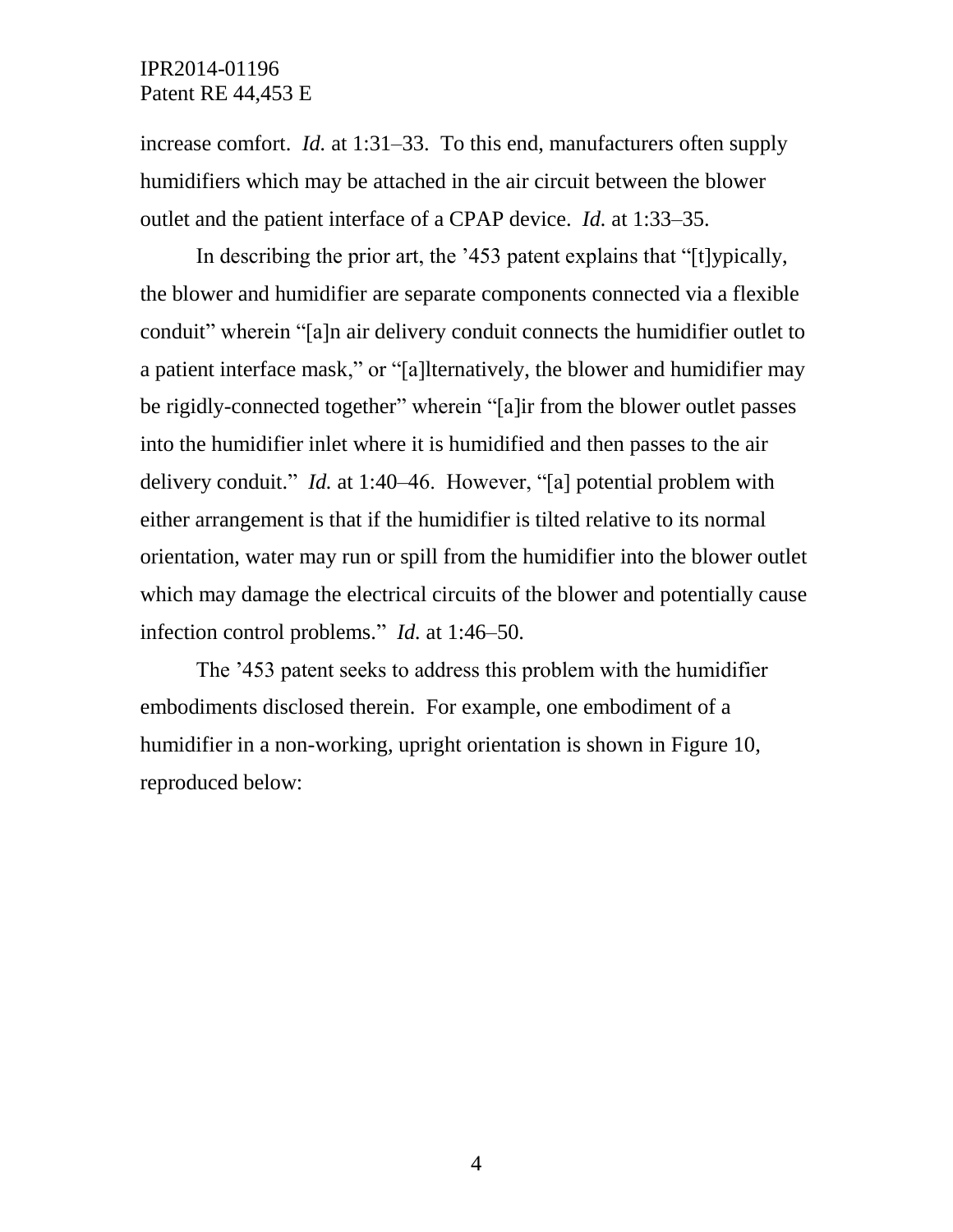increase comfort. *Id.* at 1:31–33. To this end, manufacturers often supply humidifiers which may be attached in the air circuit between the blower outlet and the patient interface of a CPAP device. *Id.* at 1:33–35.

In describing the prior art, the '453 patent explains that "[t]ypically, the blower and humidifier are separate components connected via a flexible conduit" wherein "[a]n air delivery conduit connects the humidifier outlet to a patient interface mask," or "[a]lternatively, the blower and humidifier may be rigidly-connected together" wherein "[a]ir from the blower outlet passes into the humidifier inlet where it is humidified and then passes to the air delivery conduit." *Id.* at 1:40–46. However, "[a] potential problem with either arrangement is that if the humidifier is tilted relative to its normal orientation, water may run or spill from the humidifier into the blower outlet which may damage the electrical circuits of the blower and potentially cause infection control problems." *Id.* at 1:46–50.

The '453 patent seeks to address this problem with the humidifier embodiments disclosed therein. For example, one embodiment of a humidifier in a non-working, upright orientation is shown in Figure 10, reproduced below: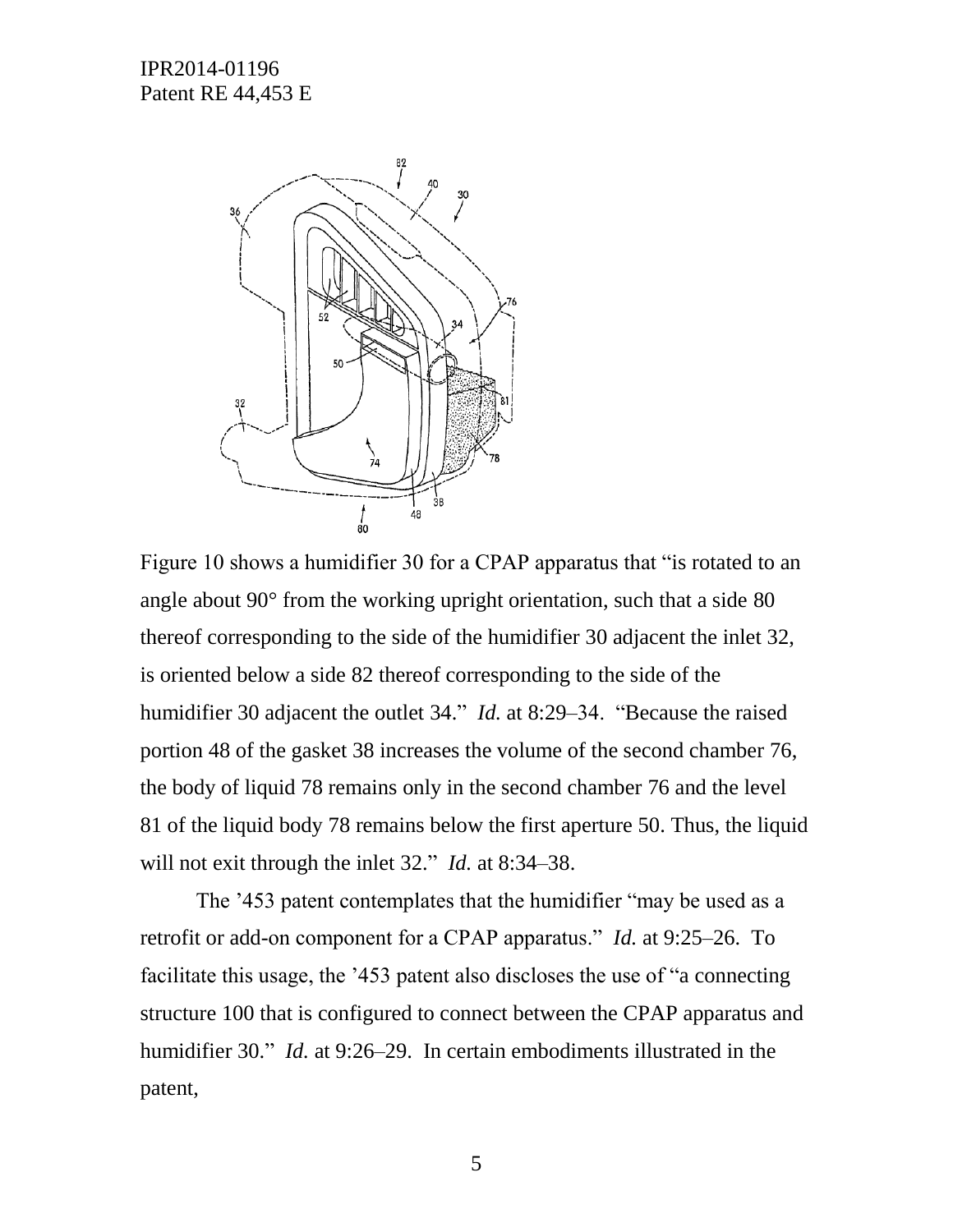

Figure 10 shows a humidifier 30 for a CPAP apparatus that "is rotated to an angle about 90° from the working upright orientation, such that a side 80 thereof corresponding to the side of the humidifier 30 adjacent the inlet 32, is oriented below a side 82 thereof corresponding to the side of the humidifier 30 adjacent the outlet 34." *Id.* at 8:29–34. "Because the raised portion 48 of the gasket 38 increases the volume of the second chamber 76, the body of liquid 78 remains only in the second chamber 76 and the level 81 of the liquid body 78 remains below the first aperture 50. Thus, the liquid will not exit through the inlet 32." *Id.* at 8:34–38.

The '453 patent contemplates that the humidifier "may be used as a retrofit or add-on component for a CPAP apparatus." *Id.* at 9:25–26. To facilitate this usage, the '453 patent also discloses the use of "a connecting structure 100 that is configured to connect between the CPAP apparatus and humidifier 30." *Id.* at 9:26–29. In certain embodiments illustrated in the patent,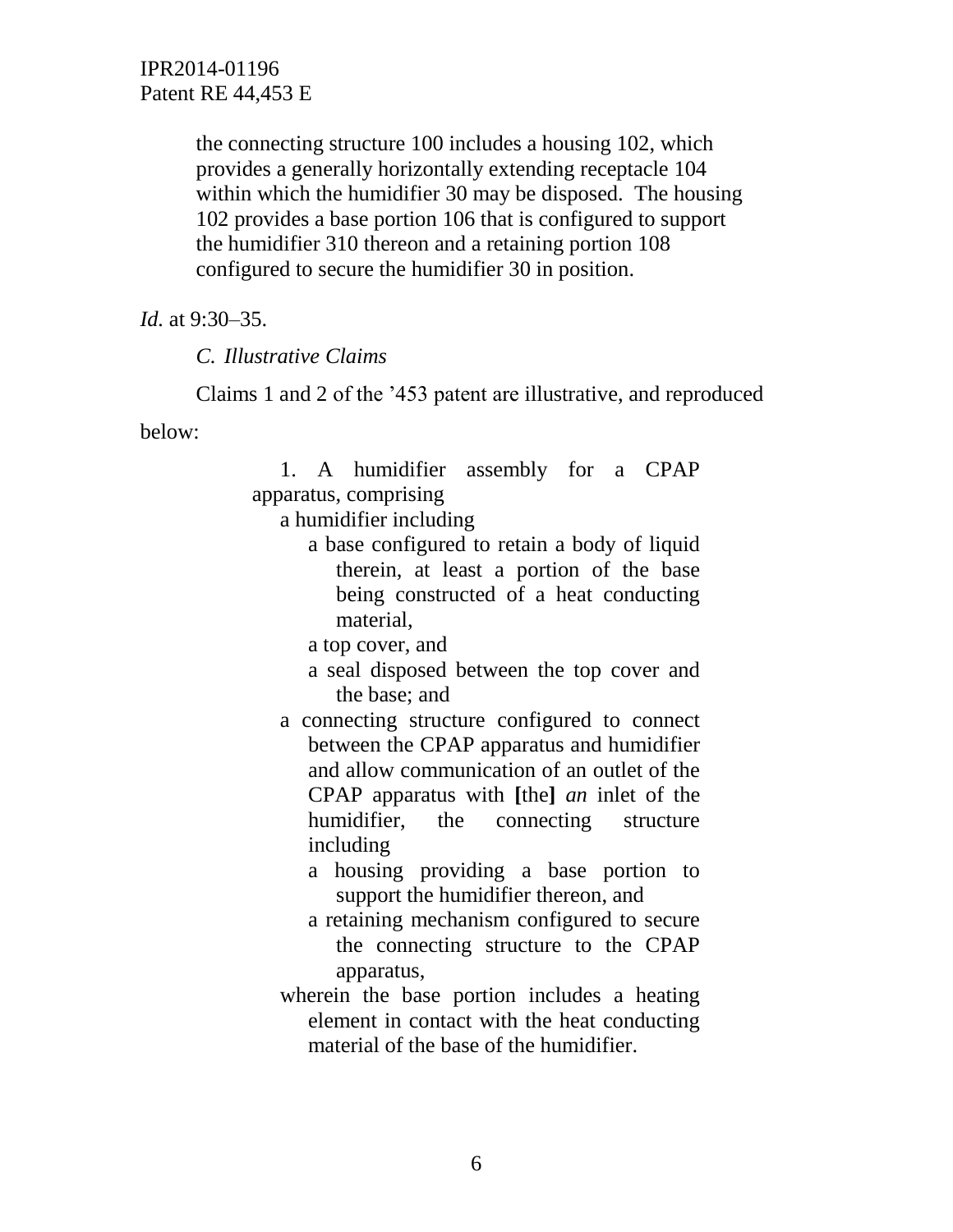> the connecting structure 100 includes a housing 102, which provides a generally horizontally extending receptacle 104 within which the humidifier 30 may be disposed. The housing 102 provides a base portion 106 that is configured to support the humidifier 310 thereon and a retaining portion 108 configured to secure the humidifier 30 in position.

*Id.* at 9:30–35.

*C. Illustrative Claims*

Claims 1 and 2 of the '453 patent are illustrative, and reproduced

below:

1. A humidifier assembly for a CPAP apparatus, comprising

a humidifier including

a base configured to retain a body of liquid therein, at least a portion of the base being constructed of a heat conducting material,

a top cover, and

- a seal disposed between the top cover and the base; and
- a connecting structure configured to connect between the CPAP apparatus and humidifier and allow communication of an outlet of the CPAP apparatus with **[**the**]** *an* inlet of the humidifier, the connecting structure including
	- a housing providing a base portion to support the humidifier thereon, and
	- a retaining mechanism configured to secure the connecting structure to the CPAP apparatus,
- wherein the base portion includes a heating element in contact with the heat conducting material of the base of the humidifier.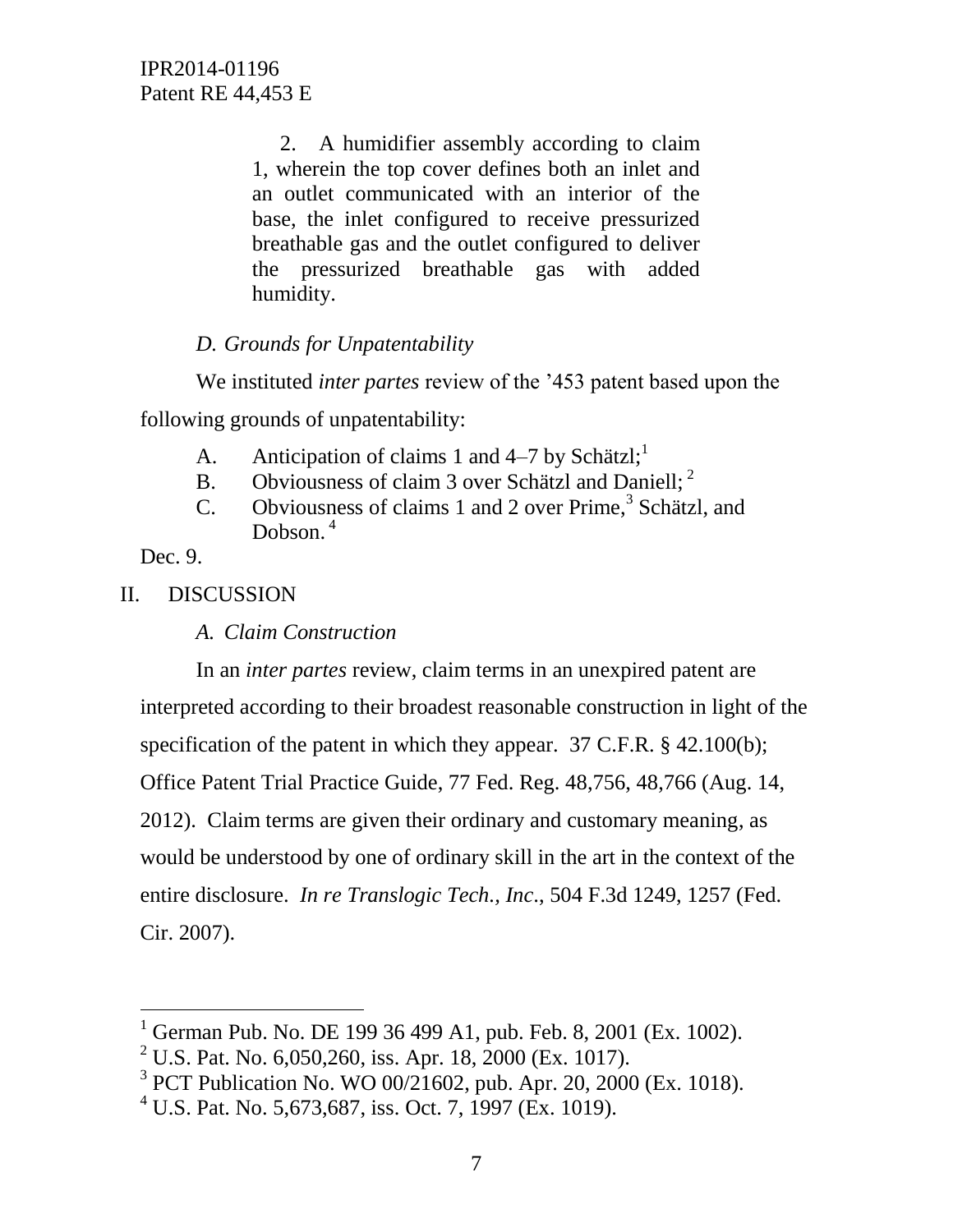2. A humidifier assembly according to claim 1, wherein the top cover defines both an inlet and an outlet communicated with an interior of the base, the inlet configured to receive pressurized breathable gas and the outlet configured to deliver the pressurized breathable gas with added humidity.

# *D. Grounds for Unpatentability*

We instituted *inter partes* review of the '453 patent based upon the

following grounds of unpatentability:

- A. Anticipation of claims 1 and  $4-7$  by Schätzl;<sup>1</sup>
- B. Obviousness of claim 3 over Schätzl and Daniell;  $2^2$
- C. Obviousness of claims 1 and 2 over Prime,<sup>3</sup> Schätzl, and Dobson.<sup>4</sup>

Dec. 9.

 $\overline{a}$ 

## II. DISCUSSION

*A. Claim Construction*

In an *inter partes* review, claim terms in an unexpired patent are interpreted according to their broadest reasonable construction in light of the specification of the patent in which they appear. 37 C.F.R. § 42.100(b); Office Patent Trial Practice Guide, 77 Fed. Reg. 48,756, 48,766 (Aug. 14, 2012). Claim terms are given their ordinary and customary meaning, as would be understood by one of ordinary skill in the art in the context of the entire disclosure. *In re Translogic Tech., Inc*., 504 F.3d 1249, 1257 (Fed. Cir. 2007).

<sup>&</sup>lt;sup>1</sup> German Pub. No. DE 199 36 499 A1, pub. Feb. 8, 2001 (Ex. 1002).

<sup>&</sup>lt;sup>2</sup> U.S. Pat. No. 6,050,260, iss. Apr. 18, 2000 (Ex. 1017).

<sup>3</sup> PCT Publication No. WO 00/21602, pub. Apr. 20, 2000 (Ex. 1018).

 $^{4}$  U.S. Pat. No. 5,673,687, iss. Oct. 7, 1997 (Ex. 1019).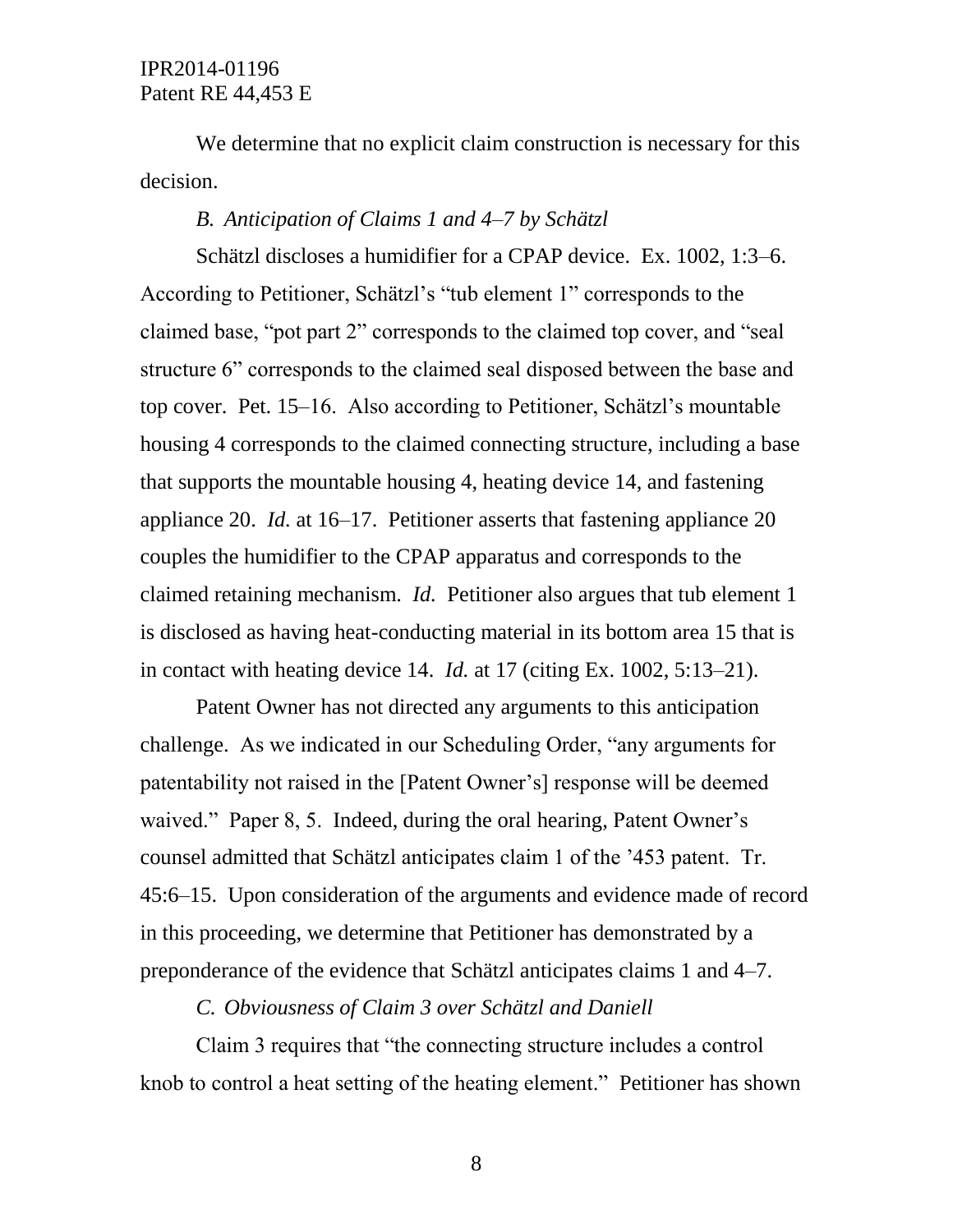We determine that no explicit claim construction is necessary for this decision.

## *B. Anticipation of Claims 1 and 4–7 by Schätzl*

Schätzl discloses a humidifier for a CPAP device. Ex. 1002, 1:3–6. According to Petitioner, Schätzl's "tub element 1" corresponds to the claimed base, "pot part 2" corresponds to the claimed top cover, and "seal structure 6" corresponds to the claimed seal disposed between the base and top cover. Pet. 15–16. Also according to Petitioner, Schätzl's mountable housing 4 corresponds to the claimed connecting structure, including a base that supports the mountable housing 4, heating device 14, and fastening appliance 20. *Id.* at 16–17. Petitioner asserts that fastening appliance 20 couples the humidifier to the CPAP apparatus and corresponds to the claimed retaining mechanism. *Id.* Petitioner also argues that tub element 1 is disclosed as having heat-conducting material in its bottom area 15 that is in contact with heating device 14. *Id.* at 17 (citing Ex. 1002, 5:13–21).

Patent Owner has not directed any arguments to this anticipation challenge. As we indicated in our Scheduling Order, "any arguments for patentability not raised in the [Patent Owner's] response will be deemed waived." Paper 8, 5. Indeed, during the oral hearing, Patent Owner's counsel admitted that Schätzl anticipates claim 1 of the '453 patent. Tr. 45:6–15. Upon consideration of the arguments and evidence made of record in this proceeding, we determine that Petitioner has demonstrated by a preponderance of the evidence that Schätzl anticipates claims 1 and 4–7.

*C. Obviousness of Claim 3 over Schätzl and Daniell*

Claim 3 requires that "the connecting structure includes a control knob to control a heat setting of the heating element." Petitioner has shown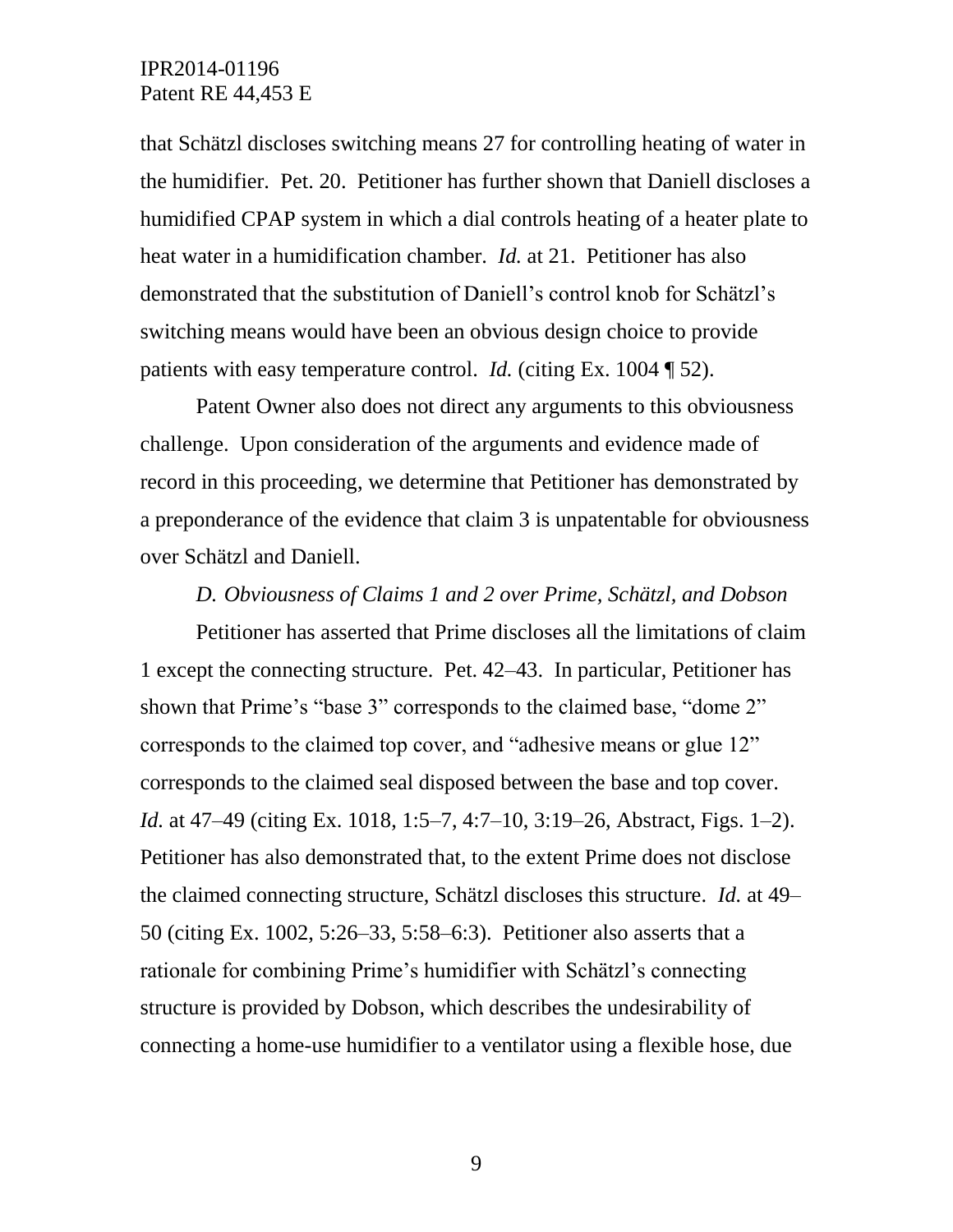that Schätzl discloses switching means 27 for controlling heating of water in the humidifier. Pet. 20. Petitioner has further shown that Daniell discloses a humidified CPAP system in which a dial controls heating of a heater plate to heat water in a humidification chamber. *Id.* at 21. Petitioner has also demonstrated that the substitution of Daniell's control knob for Schätzl's switching means would have been an obvious design choice to provide patients with easy temperature control. *Id.* (citing Ex. 1004 ¶ 52).

Patent Owner also does not direct any arguments to this obviousness challenge. Upon consideration of the arguments and evidence made of record in this proceeding, we determine that Petitioner has demonstrated by a preponderance of the evidence that claim 3 is unpatentable for obviousness over Schätzl and Daniell.

#### *D. Obviousness of Claims 1 and 2 over Prime, Schätzl, and Dobson*

Petitioner has asserted that Prime discloses all the limitations of claim 1 except the connecting structure. Pet. 42–43. In particular, Petitioner has shown that Prime's "base 3" corresponds to the claimed base, "dome 2" corresponds to the claimed top cover, and "adhesive means or glue 12" corresponds to the claimed seal disposed between the base and top cover. *Id.* at 47–49 (citing Ex. 1018, 1:5–7, 4:7–10, 3:19–26, Abstract, Figs. 1–2). Petitioner has also demonstrated that, to the extent Prime does not disclose the claimed connecting structure, Schätzl discloses this structure. *Id.* at 49– 50 (citing Ex. 1002, 5:26–33, 5:58–6:3). Petitioner also asserts that a rationale for combining Prime's humidifier with Schätzl's connecting structure is provided by Dobson, which describes the undesirability of connecting a home-use humidifier to a ventilator using a flexible hose, due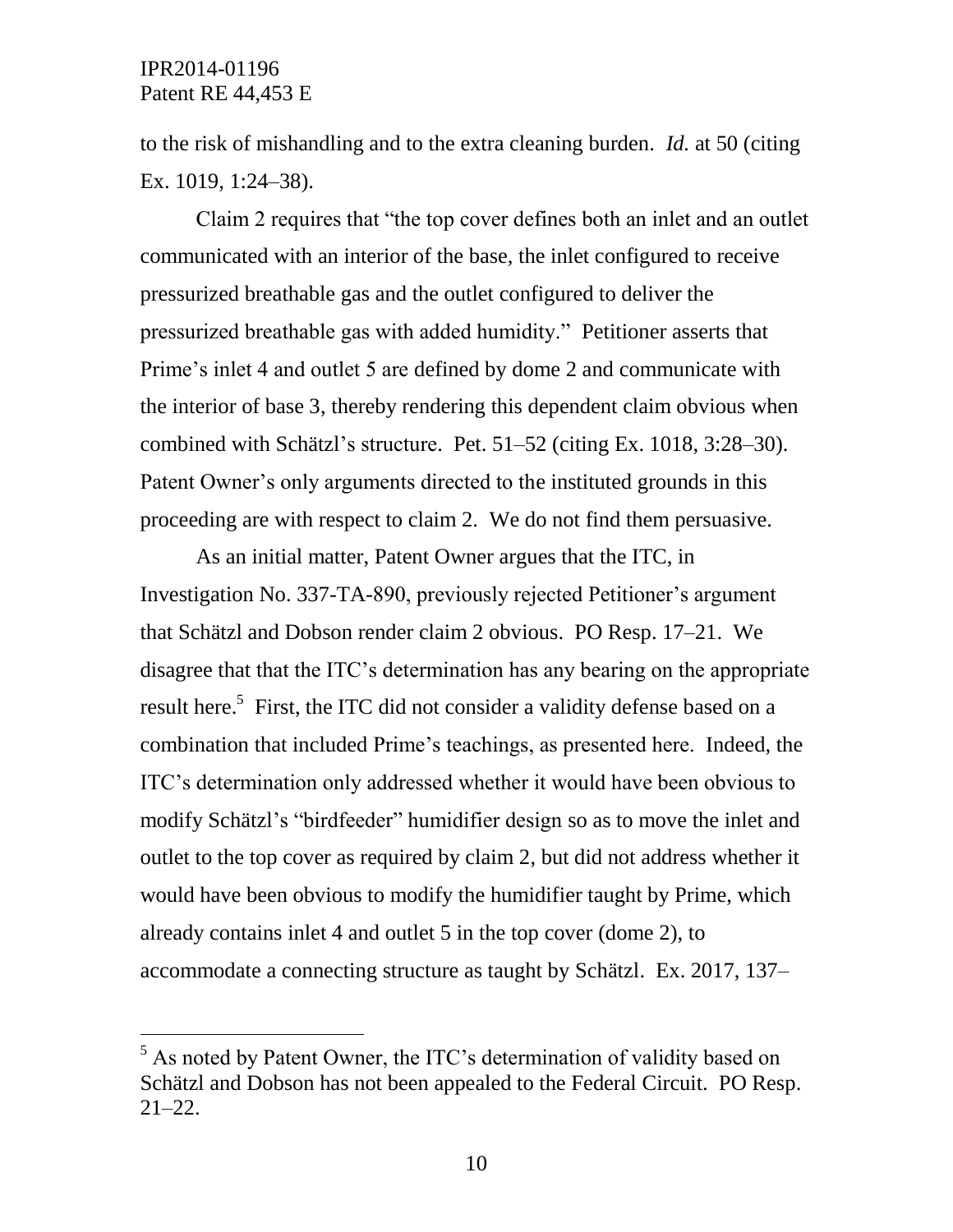$\overline{a}$ 

to the risk of mishandling and to the extra cleaning burden. *Id.* at 50 (citing Ex. 1019, 1:24–38).

Claim 2 requires that "the top cover defines both an inlet and an outlet communicated with an interior of the base, the inlet configured to receive pressurized breathable gas and the outlet configured to deliver the pressurized breathable gas with added humidity." Petitioner asserts that Prime's inlet 4 and outlet 5 are defined by dome 2 and communicate with the interior of base 3, thereby rendering this dependent claim obvious when combined with Schätzl's structure. Pet. 51–52 (citing Ex. 1018, 3:28–30). Patent Owner's only arguments directed to the instituted grounds in this proceeding are with respect to claim 2. We do not find them persuasive.

As an initial matter, Patent Owner argues that the ITC, in Investigation No. 337-TA-890, previously rejected Petitioner's argument that Schätzl and Dobson render claim 2 obvious. PO Resp. 17–21. We disagree that that the ITC's determination has any bearing on the appropriate result here.<sup>5</sup> First, the ITC did not consider a validity defense based on a combination that included Prime's teachings, as presented here. Indeed, the ITC's determination only addressed whether it would have been obvious to modify Schätzl's "birdfeeder" humidifier design so as to move the inlet and outlet to the top cover as required by claim 2, but did not address whether it would have been obvious to modify the humidifier taught by Prime, which already contains inlet 4 and outlet 5 in the top cover (dome 2), to accommodate a connecting structure as taught by Schätzl. Ex. 2017, 137–

<sup>&</sup>lt;sup>5</sup> As noted by Patent Owner, the ITC's determination of validity based on Schätzl and Dobson has not been appealed to the Federal Circuit. PO Resp. 21–22.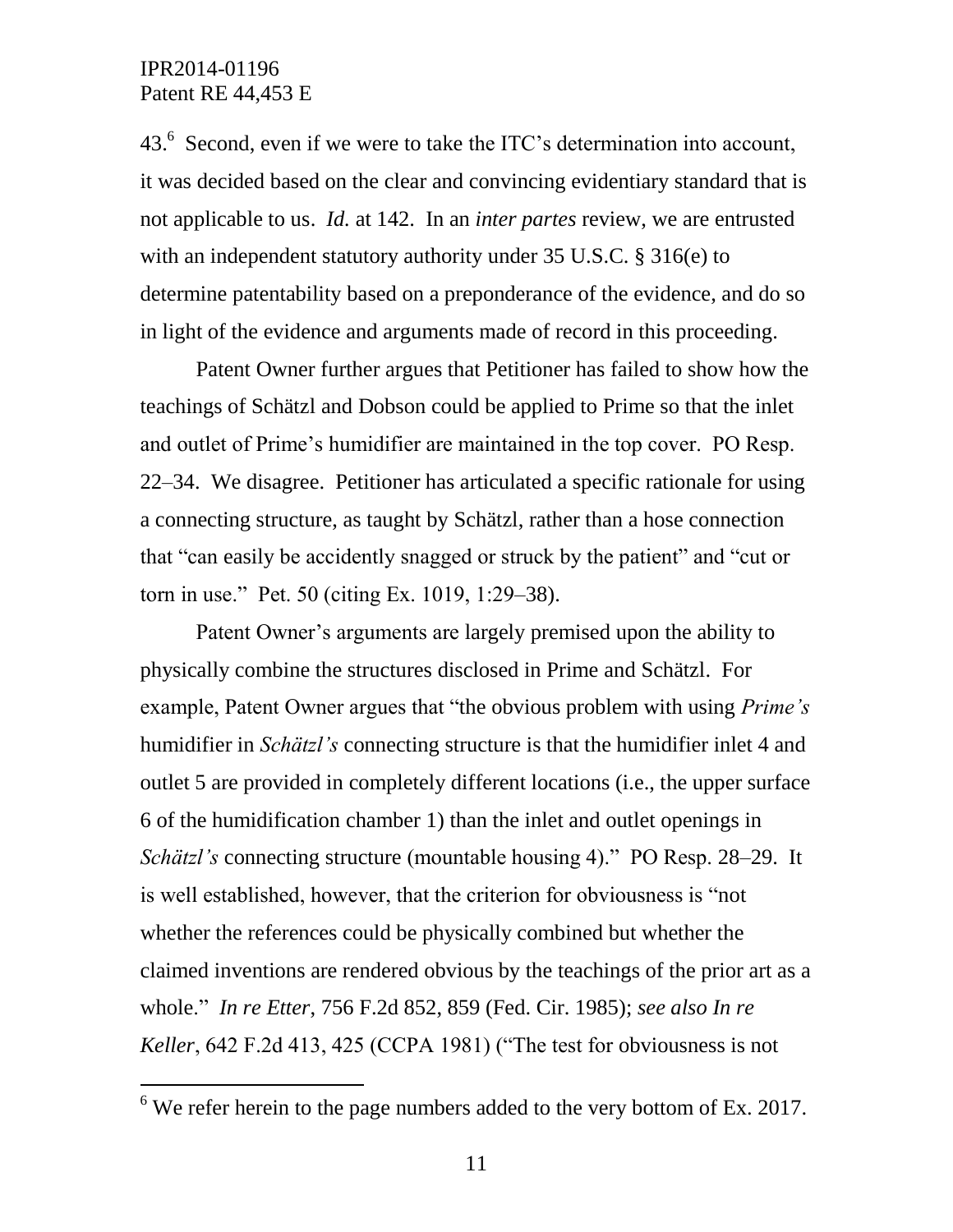$\overline{a}$ 

43. $<sup>6</sup>$  Second, even if we were to take the ITC's determination into account,</sup> it was decided based on the clear and convincing evidentiary standard that is not applicable to us. *Id.* at 142. In an *inter partes* review, we are entrusted with an independent statutory authority under 35 U.S.C. § 316(e) to determine patentability based on a preponderance of the evidence, and do so in light of the evidence and arguments made of record in this proceeding.

Patent Owner further argues that Petitioner has failed to show how the teachings of Schätzl and Dobson could be applied to Prime so that the inlet and outlet of Prime's humidifier are maintained in the top cover. PO Resp. 22–34. We disagree. Petitioner has articulated a specific rationale for using a connecting structure, as taught by Schätzl, rather than a hose connection that "can easily be accidently snagged or struck by the patient" and "cut or torn in use." Pet. 50 (citing Ex. 1019, 1:29–38).

Patent Owner's arguments are largely premised upon the ability to physically combine the structures disclosed in Prime and Schätzl. For example, Patent Owner argues that "the obvious problem with using *Prime's*  humidifier in *Schätzl's* connecting structure is that the humidifier inlet 4 and outlet 5 are provided in completely different locations (i.e., the upper surface 6 of the humidification chamber 1) than the inlet and outlet openings in *Schätzl's* connecting structure (mountable housing 4)." PO Resp. 28–29. It is well established, however, that the criterion for obviousness is "not whether the references could be physically combined but whether the claimed inventions are rendered obvious by the teachings of the prior art as a whole." *In re Etter*, 756 F.2d 852, 859 (Fed. Cir. 1985); *see also In re Keller*, 642 F.2d 413, 425 (CCPA 1981) ("The test for obviousness is not

 $6$  We refer herein to the page numbers added to the very bottom of Ex. 2017.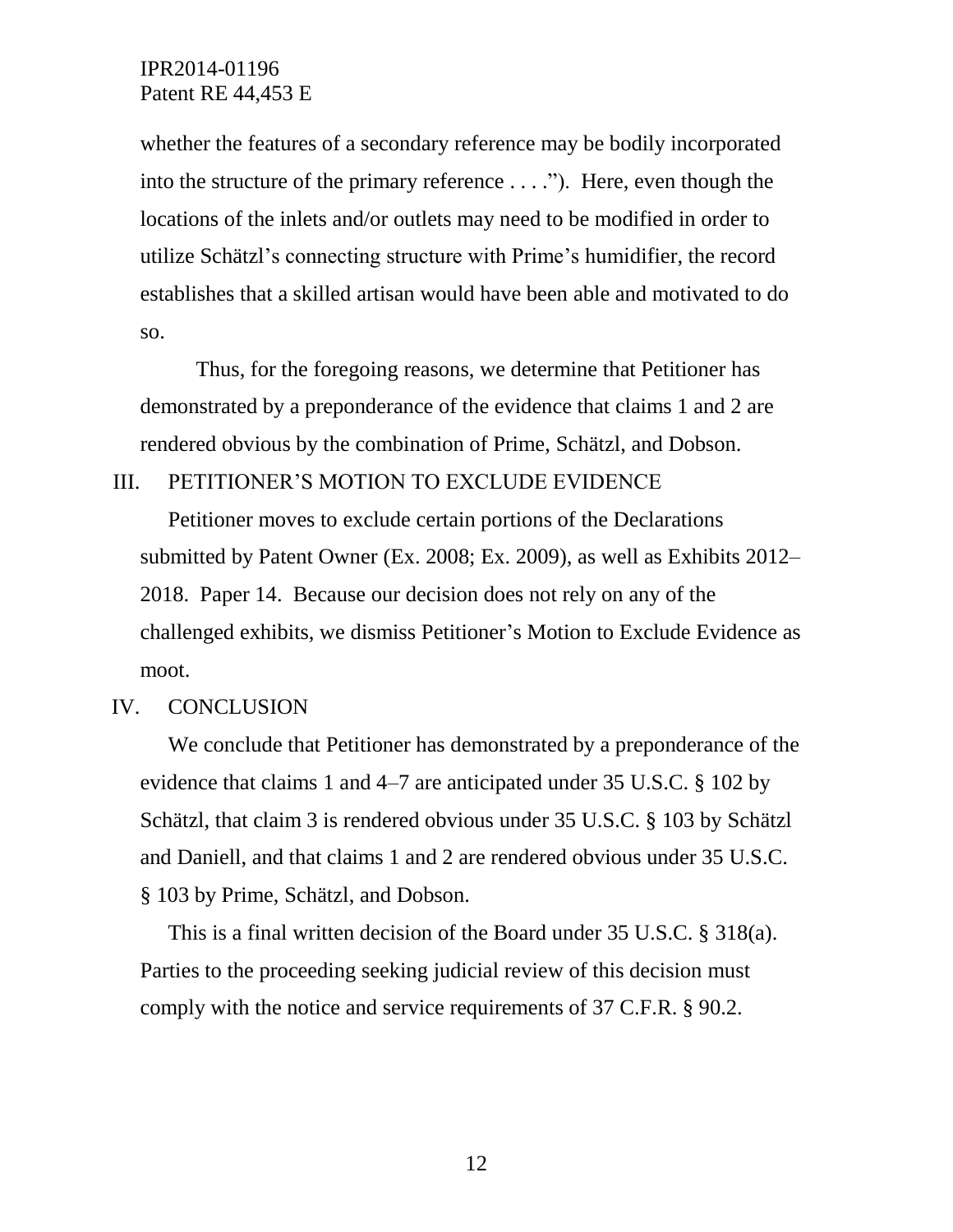whether the features of a secondary reference may be bodily incorporated into the structure of the primary reference . . . ."). Here, even though the locations of the inlets and/or outlets may need to be modified in order to utilize Schätzl's connecting structure with Prime's humidifier, the record establishes that a skilled artisan would have been able and motivated to do so.

Thus, for the foregoing reasons, we determine that Petitioner has demonstrated by a preponderance of the evidence that claims 1 and 2 are rendered obvious by the combination of Prime, Schätzl, and Dobson.

III. PETITIONER'S MOTION TO EXCLUDE EVIDENCE

Petitioner moves to exclude certain portions of the Declarations submitted by Patent Owner (Ex. 2008; Ex. 2009), as well as Exhibits 2012– 2018. Paper 14. Because our decision does not rely on any of the challenged exhibits, we dismiss Petitioner's Motion to Exclude Evidence as moot.

#### IV. CONCLUSION

We conclude that Petitioner has demonstrated by a preponderance of the evidence that claims 1 and 4–7 are anticipated under 35 U.S.C. § 102 by Schätzl, that claim 3 is rendered obvious under 35 U.S.C. § 103 by Schätzl and Daniell, and that claims 1 and 2 are rendered obvious under 35 U.S.C. § 103 by Prime, Schätzl, and Dobson.

This is a final written decision of the Board under 35 U.S.C. § 318(a). Parties to the proceeding seeking judicial review of this decision must comply with the notice and service requirements of 37 C.F.R. § 90.2.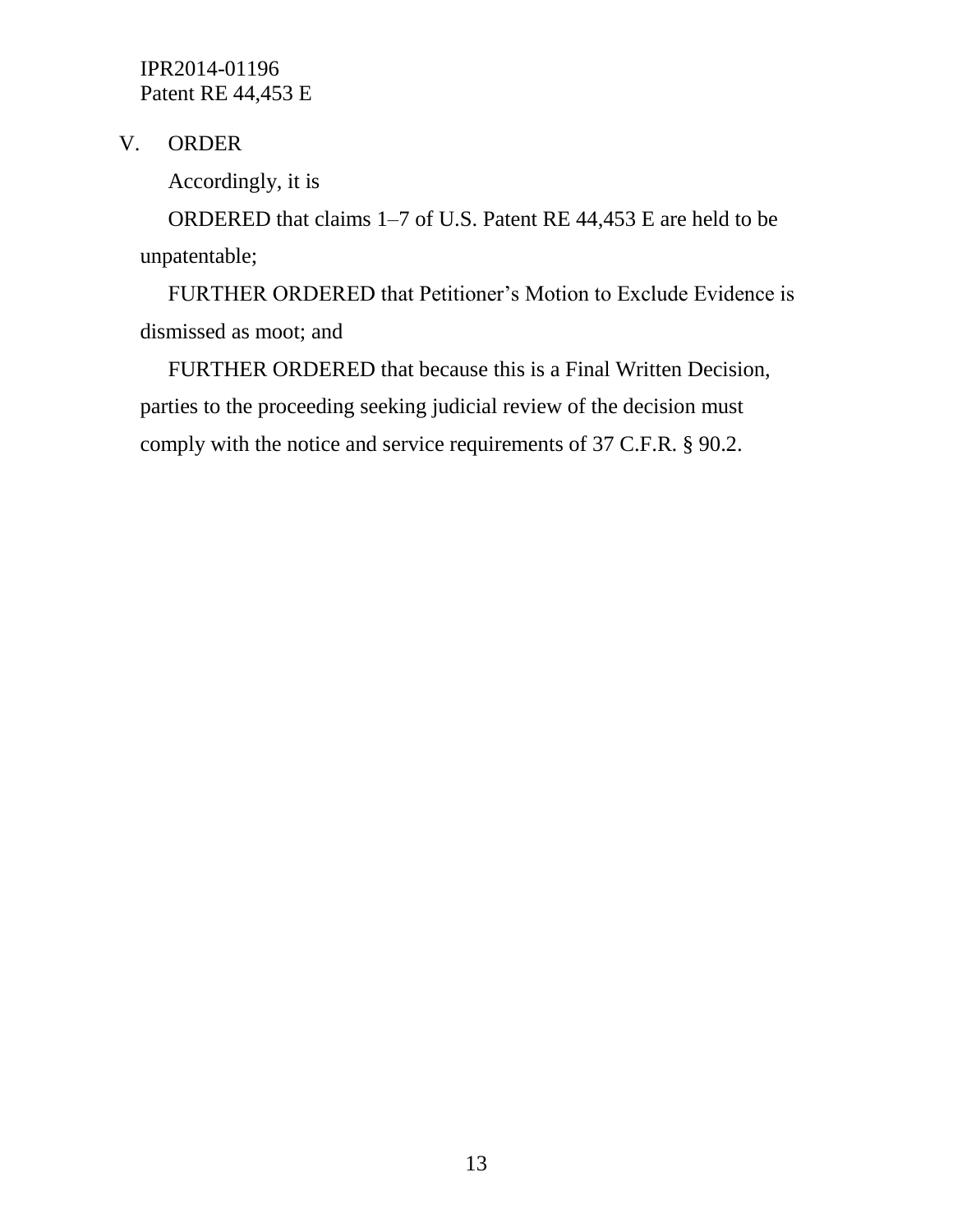V. ORDER

Accordingly, it is

ORDERED that claims 1–7 of U.S. Patent RE 44,453 E are held to be unpatentable;

FURTHER ORDERED that Petitioner's Motion to Exclude Evidence is dismissed as moot; and

FURTHER ORDERED that because this is a Final Written Decision, parties to the proceeding seeking judicial review of the decision must comply with the notice and service requirements of 37 C.F.R. § 90.2.